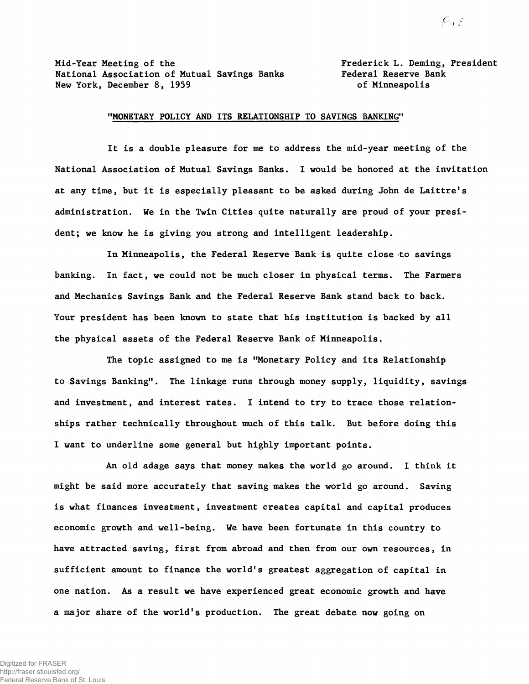Mid-Year Meeting of the Frederick L. Deming, President National Association of Mutual Savings Banks Federal Reserve Bank New York, December 8, 1959 **but all the Contract Contract Contracts** of Minneapolis

## "MONETARY POLICY AND ITS RELATIONSHIP TO SAVINGS BANKING"

It is a double pleasure for me to address the mid-year meeting of the National Association of Mutual Savings Banks. I would be honored at the invitation at any time, but it is especially pleasant to be asked during John de Laittre's administration. We in the Twin Cities quite naturally are proud of your president; we know he is giving you strong and intelligent leadership.

In Minneapolis, the Federal Reserve Bank is quite close to savings banking. In fact, we could not be much closer in physical terms. The Farmers and Mechanics Savings Bank and the Federal Reserve Bank stand back to back. Your president has been known to state that his institution is backed by all the physical assets of the Federal Reserve Bank of Minneapolis.

The topic assigned to me is "Monetary Policy and its Relationship to Savings Banking". The linkage runs through money supply, liquidity, savings and investment, and interest rates. I intend to try to trace those relationships rather technically throughout much of this talk. But before doing this I want to underline some general but highly important points.

An old adage says that money makes the world go around. I think it might be said more accurately that saving makes the world go around. Saving is what finances investment, investment creates capital and capital produces economic growth and well-being. We have been fortunate in this country to have attracted saving, first from abroad and then from our own resources, in sufficient amount to finance the world's greatest aggregation of capital in one nation. As a result we have experienced great economic growth and have a major share of the world's production. The great debate now going on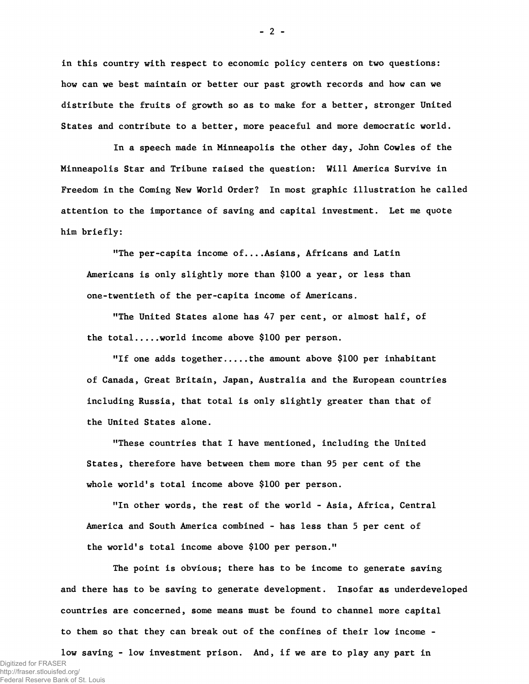in this country with respect to economic policy centers on two questions: how can we best maintain or better our past growth records and how can we distribute the fruits of growth so as to make for a better, stronger United States and contribute to a better, more peaceful and more democratic world.

In a speech made in Minneapolis the other day, John Cowles of the Minneapolis Star and Tribune raised the question: Will America Survive in Freedom in the Coming New World Order? In most graphic illustration he called attention to the importance of saving and capital investment. Let me quote him briefly:

"The per-capita income of....Asians, Africans and Latin Americans is only slightly more than \$100 a year, or less than one-twentieth of the per-capita income of Americans.

"The United States alone has 47 per cent, or almost half, of the total.... world income above \$100 per person.

"If one adds together.... the amount above \$100 per inhabitant of Canada, Great Britain, Japan, Australia and the European countries including Russia, that total is only slightly greater than that of the United States alone.

"These countries that I have mentioned, including the United States, therefore have between them more than 95 per cent of the whole world's total income above \$100 per person.

"In other words, the rest of the world - Asia, Africa, Central America and South America combined - has less than 5 per cent of the world's total income above \$100 per person."

The point is obvious; there has to be income to generate saving and there has to be saving to generate development. Insofar as underdeveloped countries are concerned, some means must be found to channel more capital to them so that they can break out of the confines of their low income -

low saving - low investment prison. And, if we are to play any part in Digitized for FRASER http://fraser.stlouisfed.org/ Federal Reserve Bank of St. Louis

**-** 2 **-**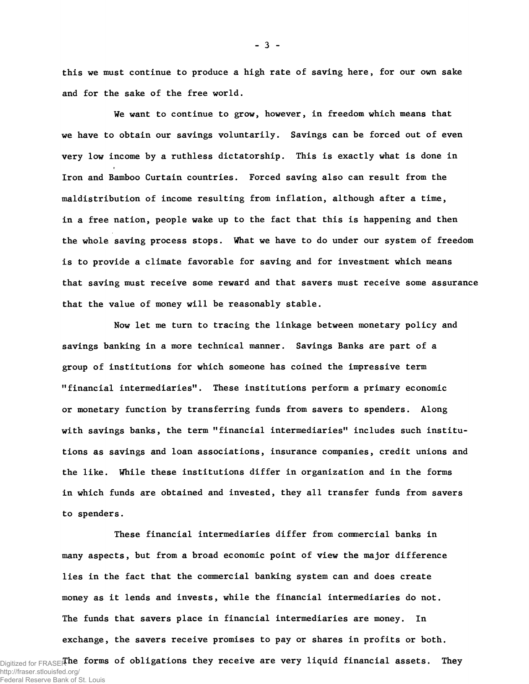this we must continue to produce a high rate of saving here, for our own sake and for the sake of the free world.

We want to continue to grow, however, in freedom which means that we have to obtain our savings voluntarily. Savings can be forced out of even very low income by a ruthless dictatorship. This is exactly what is done in Iron and Bamboo Curtain countries. Forced saving also can result from the maldistribution of income resulting from inflation, although after a time, in a free nation, people wake up to the fact that this is happening and then the whole saving process stops. What we have to do under our system of freedom is to provide a climate favorable for saving and for investment which means that saving must receive some reward and that savers must receive some assurance that the value of money will be reasonably stable.

Now let me turn to tracing the linkage between monetary policy and savings banking in a more technical manner. Savings Banks are part of a group of institutions for which someone has coined the impressive term "financial intermediaries". These institutions perform a primary economic or monetary function by transferring funds from savers to spenders. Along with savings banks, the term "financial intermediaries" includes such institutions as savings and loan associations, insurance companies, credit unions and the like. While these institutions differ in organization and in the forms in which funds are obtained and invested, they all transfer funds from savers to spenders.

These financial intermediaries differ from commercial banks in many aspects, but from a broad economic point of view the major difference lies in the fact that the commercial banking system can and does create money as it lends and invests, while the financial intermediaries do not. The funds that savers place in financial intermediaries are money. In exchange, the savers receive promises to pay or shares in profits or both.

Digitized for FRASER **he forms of obligations they receive are very liquid financial assets. They** http://fraser.stlouisfed.org/ Federal Reserve Bank of St. Louis

**-** 3 **-**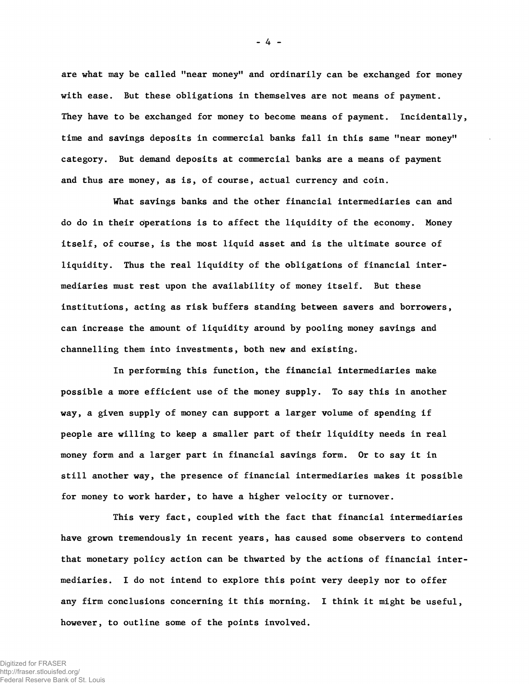are what may be called "near money" and ordinarily can be exchanged for money with ease. But these obligations in themselves are not means of payment. They have to be exchanged for money to become means of payment. Incidentally, time and savings deposits in commercial banks fall in this same "near money" category. But demand deposits at commercial banks are a means of payment and thus are money, as is, of course, actual currency and coin.

What savings banks and the other financial intermediaries can and do do in their operations is to affect the liquidity of the economy. Money itself, of course, is the most liquid asset and is the ultimate source of liquidity. Thus the real liquidity of the obligations of financial intermediaries must rest upon the availability of money itself. But these institutions, acting as risk buffers standing between savers and borrowers, can increase the amount of liquidity around by pooling money savings and channelling them into investments, both new and existing.

In performing this function, the financial intermediaries make possible a more efficient use of the money supply. To say this in another way, a given supply of money can support a larger volume of spending if people are willing to keep a smaller part of their liquidity needs in real money form and a larger part in financial savings form. Or to say it in still another way, the presence of financial intermediaries makes it possible for money to work harder, to have a higher velocity or turnover.

This very fact, coupled with the fact that financial intermediaries have grown tremendously in recent years, has caused some observers to contend that monetary policy action can be thwarted by the actions of financial intermediaries. I do not intend to explore this point very deeply nor to offer any firm conclusions concerning it this morning. I think it might be useful, however, to outline some of the points involved.

**-** 4 **-**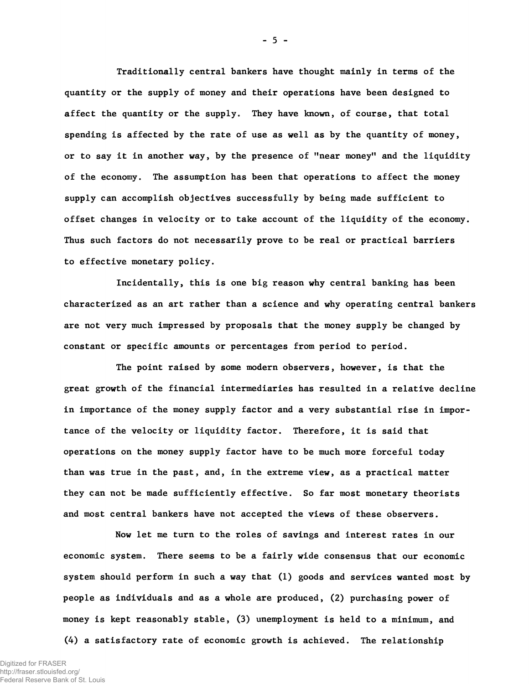Traditionally central bankers have thought mainly in terms of the quantity or the supply of money and their operations have been designed to affect the quantity or the supply. They have known, of course, that total spending is affected by the rate of use as well as by the quantity of money, or to say it in another way, by the presence of "near money" and the liquidity of the economy. The assumption has been that operations to affect the money supply can accomplish objectives successfully by being made sufficient to offset changes in velocity or to take account of the liquidity of the economy. Thus such factors do not necessarily prove to be real or practical barriers to effective monetary policy.

Incidentally, this is one big reason why central banking has been characterized as an art rather than a science and why operating central bankers are not very much impressed by proposals that the money supply be changed by constant or specific amounts or percentages from period to period.

The point raised by some modern observers, however, is that the great growth of the financial intermediaries has resulted in a relative decline in importance of the money supply factor and a very substantial rise in importance of the velocity or liquidity factor. Therefore, it is said that operations on the money supply factor have to be much more forceful today than was true in the past, and, in the extreme view, as a practical matter they can not be made sufficiently effective. So far most monetary theorists and most central bankers have not accepted the views of these observers.

Now let me turn to the roles of savings and interest rates in our economic system. There seems to be a fairly wide consensus that our economic system should perform in such a way that (1) goods and services wanted most by people as individuals and as a whole are produced, (2) purchasing power of money is kept reasonably stable, (3) unemployment is held to a minimum, and (4) a satisfactory rate of economic growth is achieved. The relationship

**-** 5 **-**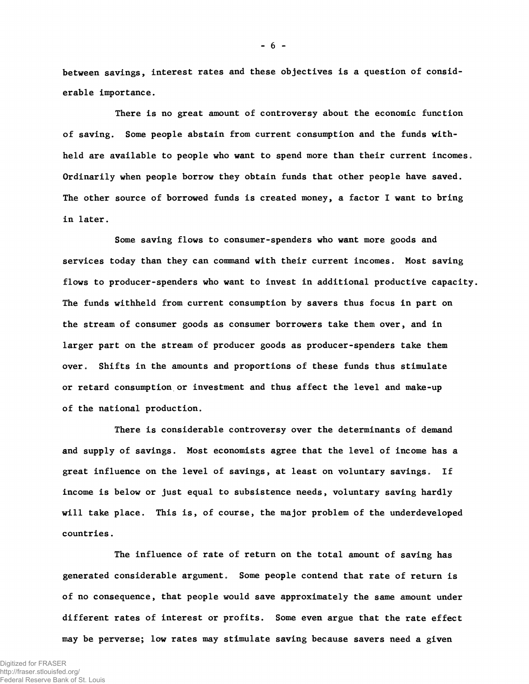between savings, interest rates and these objectives is a question of considerable importance.

There is no great amount of controversy about the economic function of saving. Some people abstain from current consumption and the funds withheld are available to people who want to spend more than their current incomes. Ordinarily when people borrow they obtain funds that other people have saved. The other source of borrowed funds is created money, a factor I want to bring in later.

Some saving flows to consumer-spenders who want more goods and services today than they can command with their current incomes. Most saving flows to producer-spenders who want to invest in additional productive capacity. The funds withheld from current consumption by savers thus focus in part on the stream of consumer goods as consumer borrowers take them over, and in larger part on the stream of producer goods as producer-spenders take them over. Shifts in the amounts and proportions of these funds thus stimulate or retard consumption or investment and thus affect the level and make-up of the national production.

There is considerable controversy over the determinants of demand and supply of savings. Most economists agree that the level of income has a great influence on the level of savings, at least on voluntary savings. If income is below or just equal to subsistence needs, voluntary saving hardly will take place. This is, of course, the major problem of the underdeveloped countries.

The influence of rate of return on the total amount of saving has generated considerable argument. Some people contend that rate of return is of no consequence, that people would save approximately the same amount under different rates of interest or profits. Some even argue that the rate effect may be perverse; low rates may stimulate saving because savers need a given

**-** 6 **-**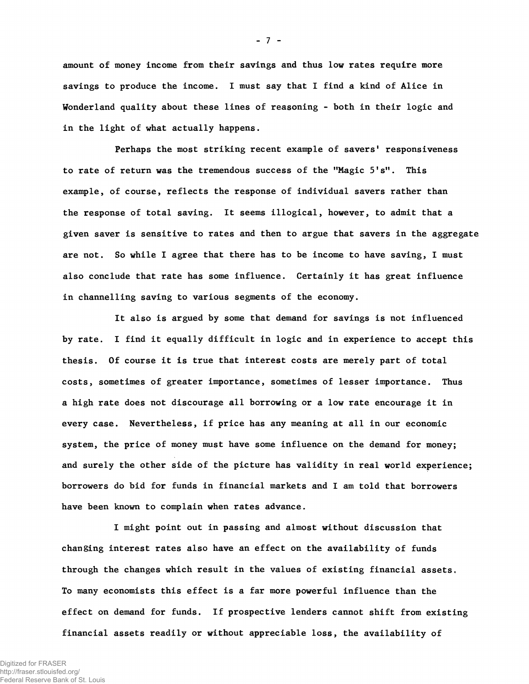amount of money income from their savings and thus low rates require more savings to produce the income. I must say that I find a kind of Alice in Wonderland quality about these lines of reasoning - both in their logic and in the light of what actually happens.

Perhaps the most striking recent example of savers' responsiveness to rate of return was the tremendous success of the "Magic S's". This example, of course, reflects the response of individual savers rather than the response of total saving. It seems illogical, however, to admit that a given saver is sensitive to rates and then to argue that savers in the aggregate are not. So while I agree that there has to be income to have saving, I must also conclude that rate has some influence. Certainly it has great influence in channelling saving to various segments of the economy.

It also is argued by some that demand for savings is not influenced by rate. I find it equally difficult in logic and in experience to accept this thesis. Of course it is true that interest costs are merely part of total costs, sometimes of greater importance, sometimes of lesser importance. Thus a high rate does not discourage all borrowing or a low rate encourage it in every case. Nevertheless, if price has any meaning at all in our economic system, the price of money must have some influence on the demand for money; and surely the other side of the picture has validity in real world experience; borrowers do bid for funds in financial markets and I am told that borrowers have been known to complain when rates advance.

I might point out in passing and almost without discussion that changing interest rates also have an effect on the availability of funds through the changes which result in the values of existing financial assets. To many economists this effect is a far more powerful influence than the effect on demand for funds. If prospective lenders cannot shift from existing financial assets readily or without appreciable loss, the availability of

**-** 7 **-**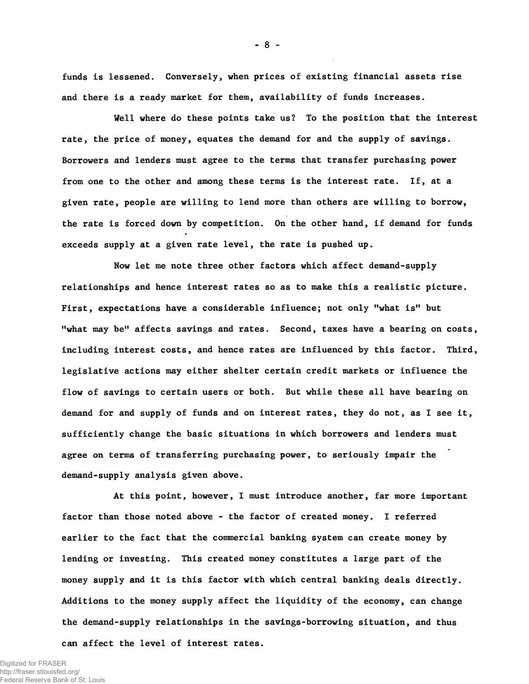funds is lessened. Conversely, when prices of existing financial assets rise and there is a ready market for them, availability of funds increases.

Well where do these points take us? To the position that the interest rate, the price of money, equates the demand for and the supply of savings. Borrowers and lenders must agree to the terms that transfer purchasing power from one to the other and among these terms is the interest rate. If, at a given rate, people are willing to lend more than others are willing to borrow, the rate is forced down by competition. On the other hand, if demand for funds exceeds supply at a given rate level, the rate is pushed up.

Now let me note three other factors which affect demand-supply relationships and hence interest rates so as to make this a realistic picture. First, expectations have a considerable influence; not only "what is" but "what may be" affects savings and rates. Second, taxes have a bearing on costs, including interest costs, and hence rates are influenced by this factor. Third, legislative actions may either shelter certain credit markets or influence the flow of savings to certain users or both. But while these all have bearing on demand for and supply of funds and on interest rates, they do not, as I see it, sufficiently change the basic situations in which borrowers and lenders must agree on terms of transferring purchasing power, to seriously impair the demand-supply analysis given above.

At this point, however, I must introduce another, far more important factor than those noted above - the factor of created money. I referred earlier to the fact that the commercial banking system can create money by lending or investing. This created money constitutes a large part of the money supply and it is this factor with which central banking deals directly. Additions to the money supply affect the liquidity of the economy, can change the demand-supply relationships in the savings-borrowing situation, and thus can affect the level of interest rates.

Digitized for FRASER http://fraser.stlouisfed.org/ Federal Reserve Bank of St. Louis **-** 8 **-**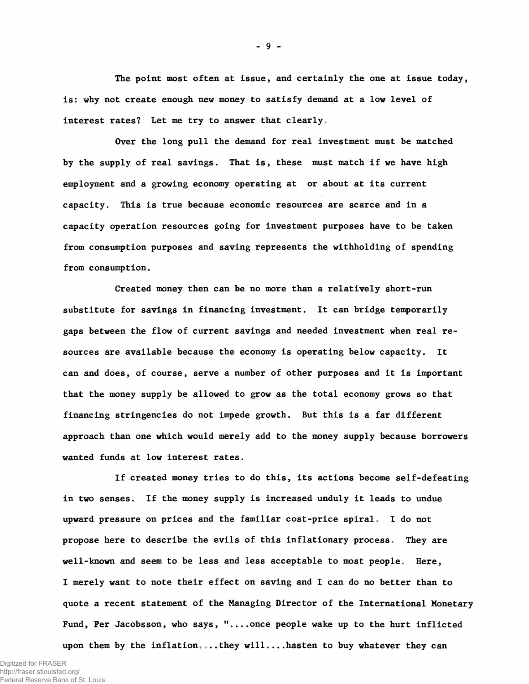The point most often at issue, and certainly the one at issue today, is: why not create enough new money to satisfy demand at a low level of interest rates? Let me try to answer that clearly.

Over the long pull the demand for real investment must be matched by the supply of real savings. That is, these must match if we have high employment and a growing economy operating at or about at its current capacity. This is true because economic resources are scarce and in a capacity operation resources going for investment purposes have to be taken from consumption purposes and saving represents the withholding of spending from consumption.

Created money then can be no more than a relatively short-run substitute for savings in financing investment. It can bridge temporarily gaps between the flow of current savings and needed investment when real resources are available because the economy is operating below capacity. It can and does, of course, serve a number of other purposes and it is important that the money supply be allowed to grow as the total economy grows so that financing stringencies do not impede growth. But this is a far different approach than one which would merely add to the money supply because borrowers wanted funds at low interest rates.

If created money tries to do this, its actions become self-defeating in two senses. If the money supply is increased unduly it leads to undue upward pressure on prices and the familiar cost-price spiral. I do not propose here to describe the evils of this inflationary process. They are well-known and seem to be less and less acceptable to most people. Here, I merely want to note their effect on saving and I can do no better than to quote a recent statement of the Managing Director of the International Monetary Fund, Per Jacobsson, who says, "....once people wake up to the hurt inflicted upon them by the inflation....they will....hasten to buy whatever they can

**-** 9 **-**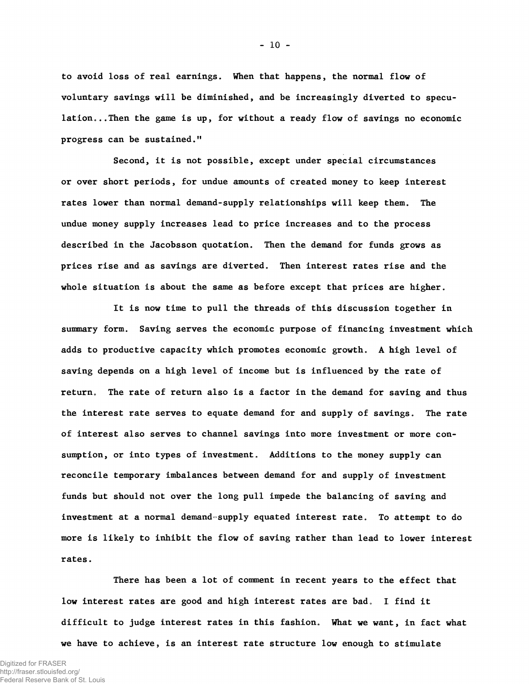to avoid loss of real earnings. When that happens, the normal flow of voluntary savings will be diminished, and be increasingly diverted to speculation...Then the game is up, for without a ready flow of savings no economic progress can be sustained."

Second, it is not possible, except under special circumstances or over short periods, for undue amounts of created money to keep interest rates lower than normal demand-supply relationships will keep them. The undue money supply increases lead to price increases and to the process described in the Jacobsson quotation. Then the demand for funds grows as prices rise and as savings are diverted. Then interest rates rise and the whole situation is about the same as before except that prices are higher.

It is now time to pull the threads of this discussion together in summary form. Saving serves the economic purpose of financing investment which adds to productive capacity which promotes economic growth. A high level of saving depends on a high level of income but is influenced by the rate of return. The rate of return also is a factor in the demand for saving and thus the interest rate serves to equate demand for and supply of savings. The rate of interest also serves to channel savings into more investment or more consumption, or into types of investment. Additions to the money supply can reconcile temporary imbalances between demand for and supply of investment funds but should not over the long pull impede the balancing of saving and investment at a normal demand-supply equated interest rate. To attempt to do more is likely to inhibit the flow of saving rather than lead to lower interest rates.

There has been a lot of comment in recent years to the effect that low interest rates are good and high interest rates are bad. I find it difficult to judge interest rates in this fashion. What we want, in fact what we have to achieve, is an interest rate structure low enough to stimulate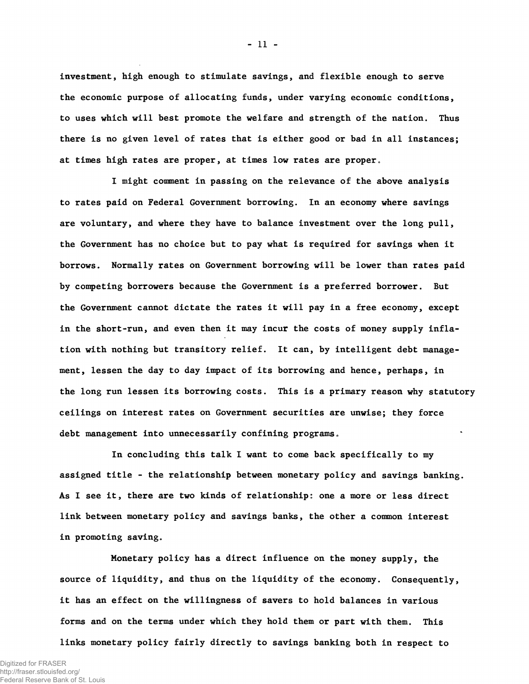investment, high enough to stimulate savings, and flexible enough to serve the economic purpose of allocating funds, under varying economic conditions, to uses which will best promote the welfare and strength of the nation. Thus there is no given level of rates that is either good or bad in all instances; at times high rates are proper, at times low rates are proper.

I might comment in passing on the relevance of the above analysis to rates paid on Federal Government borrowing. In an economy where savings are voluntary, and where they have to balance investment over the long pull, the Government has no choice but to pay what is required for savings when it borrows. Normally rates on Government borrowing will be lower than rates paid by competing borrowers because the Government is a preferred borrower. But the Government cannot dictate the rates it will pay in a free economy, except in the short-run, and even then it may incur the costs of money supply inflation with nothing but transitory relief. It can, by intelligent debt management, lessen the day to day impact of its borrowing and hence, perhaps, in the long run lessen its borrowing costs. This is a primary reason why statutory ceilings on interest rates on Government securities are unwise; they force debt management into unnecessarily confining programs.

In concluding this talk I want to come back specifically to my assigned title - the relationship between monetary policy and savings banking. As I see it, there are two kinds of relationship: one a more or less direct link between monetary policy and savings banks, the other a common interest in promoting saving.

Monetary policy has a direct influence on the money supply, the source of liquidity, and thus on the liquidity of the economy. Consequently, it has an effect on the willingness of savers to hold balances in various forms and on the terms under which they hold them or part with them. This links monetary policy fairly directly to savings banking both in respect to